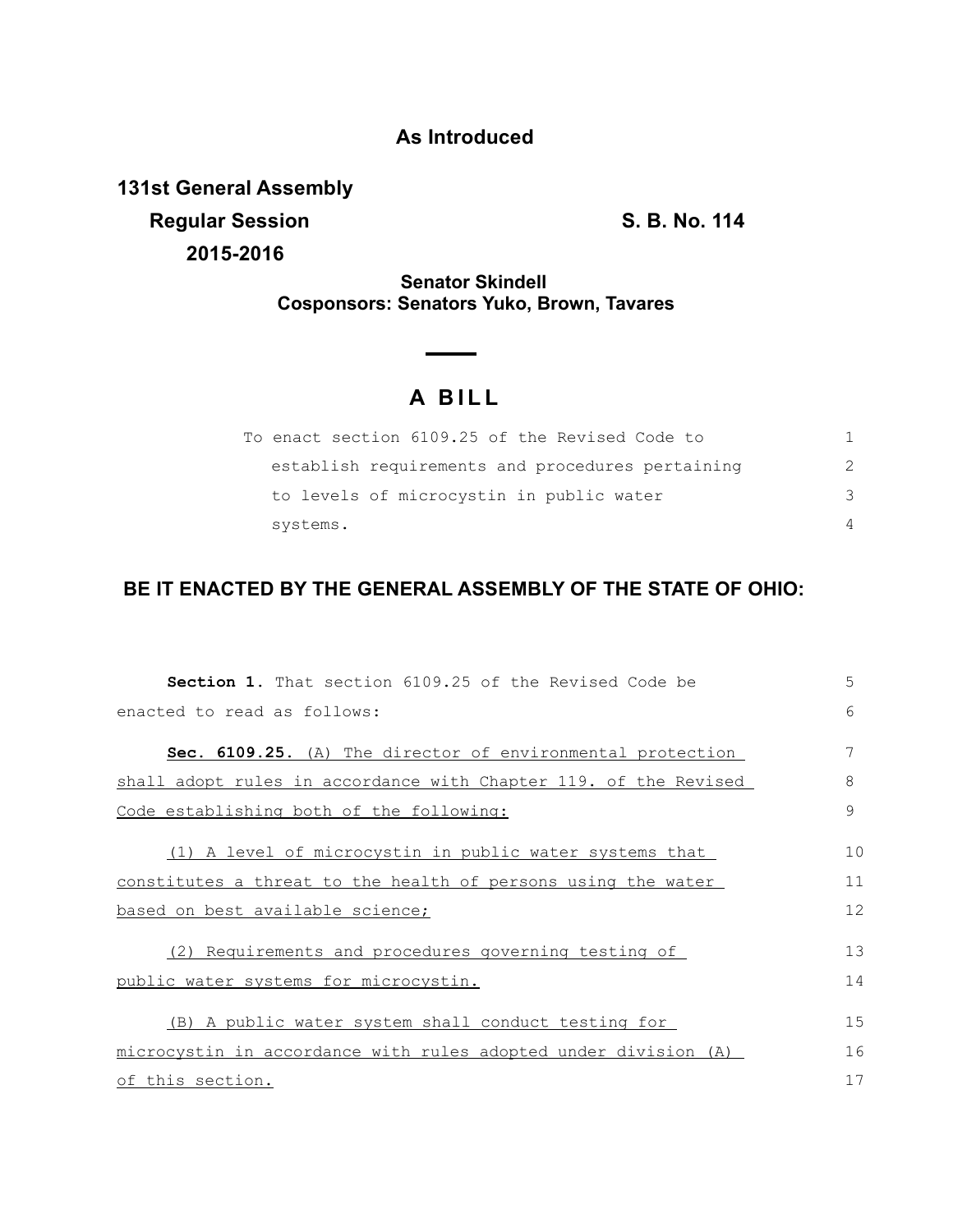## **As Introduced**

**131st General Assembly Regular Session S. B. No. 114 2015-2016**

**Senator Skindell Cosponsors: Senators Yuko, Brown, Tavares**

## **A B I L L**

| To enact section 6109.25 of the Revised Code to  |               |
|--------------------------------------------------|---------------|
| establish requirements and procedures pertaining | $\mathcal{P}$ |
| to levels of microcystin in public water         | 3             |
| systems.                                         | $\Delta$      |

## **BE IT ENACTED BY THE GENERAL ASSEMBLY OF THE STATE OF OHIO:**

| <b>Section 1.</b> That section 6109.25 of the Revised Code be     | 5  |
|-------------------------------------------------------------------|----|
| enacted to read as follows:                                       | 6  |
| <b>Sec. 6109.25.</b> (A) The director of environmental protection | 7  |
| shall adopt rules in accordance with Chapter 119. of the Revised  | 8  |
| Code establishing both of the following:                          | 9  |
| (1) A level of microcystin in public water systems that           | 10 |
| constitutes a threat to the health of persons using the water     | 11 |
| based on best available science;                                  | 12 |
| (2) Requirements and procedures governing testing of              | 13 |
| public water systems for microcystin.                             | 14 |
| (B) A public water system shall conduct testing for               | 15 |
| microcystin in accordance with rules adopted under division (A)   | 16 |
| of this section.                                                  | 17 |